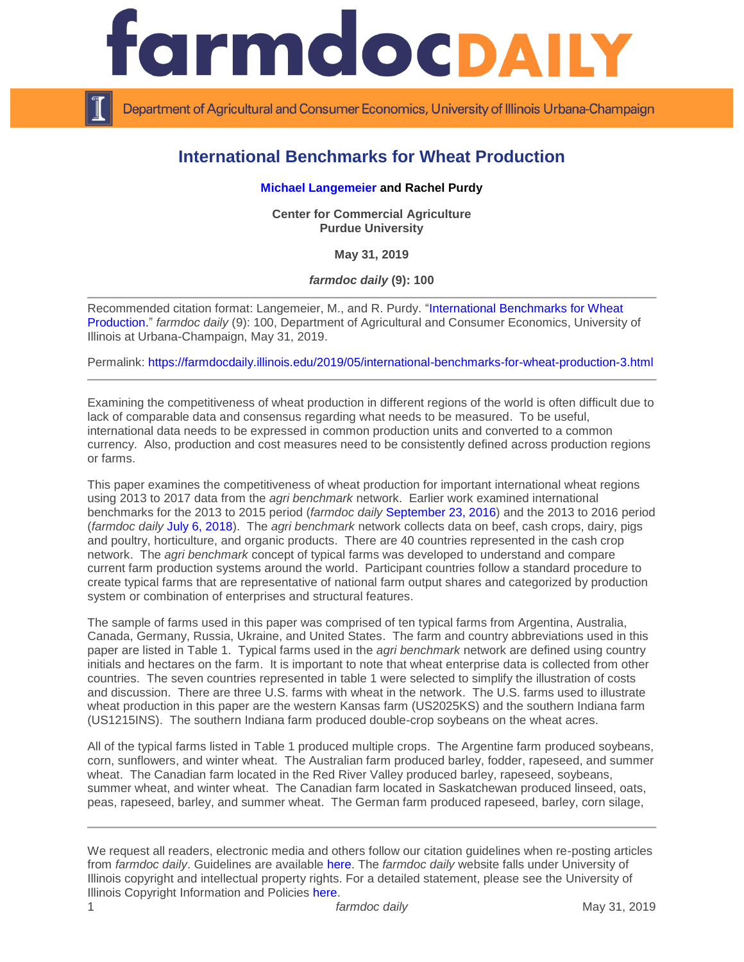

Department of Agricultural and Consumer Economics, University of Illinois Urbana-Champaign

# **International Benchmarks for Wheat Production**

## **[Michael Langemeier](https://ag.purdue.edu/commercialag/Pages/Faculty-Staff/Langemeier.aspx) and Rachel Purdy**

**Center for Commercial Agriculture Purdue University**

**May 31, 2019**

*farmdoc daily* **(9): 100**

Recommended citation format: Langemeier, M., and R. Purdy. ["International Benchmarks for Wheat](https://farmdocdaily.illinois.edu/2019/05/international-benchmarks-for-wheat-production-3.html) [Production.](https://farmdocdaily.illinois.edu/2019/05/international-benchmarks-for-wheat-production-3.html)" *farmdoc daily* (9): 100, Department of Agricultural and Consumer Economics, University of Illinois at Urbana-Champaign, May 31, 2019.

Permalink:<https://farmdocdaily.illinois.edu/2019/05/international-benchmarks-for-wheat-production-3.html>

Examining the competitiveness of wheat production in different regions of the world is often difficult due to lack of comparable data and consensus regarding what needs to be measured. To be useful, international data needs to be expressed in common production units and converted to a common currency. Also, production and cost measures need to be consistently defined across production regions or farms.

This paper examines the competitiveness of wheat production for important international wheat regions using 2013 to 2017 data from the *agri benchmark* network. Earlier work examined international benchmarks for the 2013 to 2015 period (*farmdoc daily* [September 23, 2016\)](https://farmdocdaily.illinois.edu/2016/09/international-benchmarks-for-wheat-production-2.html) and the 2013 to 2016 period (*farmdoc daily* [July 6, 2018\)](https://farmdocdaily.illinois.edu/2018/07/international-benchmarks-for-wheat-production.html). The *agri benchmark* network collects data on beef, cash crops, dairy, pigs and poultry, horticulture, and organic products. There are 40 countries represented in the cash crop network. The *agri benchmark* concept of typical farms was developed to understand and compare current farm production systems around the world. Participant countries follow a standard procedure to create typical farms that are representative of national farm output shares and categorized by production system or combination of enterprises and structural features.

The sample of farms used in this paper was comprised of ten typical farms from Argentina, Australia, Canada, Germany, Russia, Ukraine, and United States. The farm and country abbreviations used in this paper are listed in Table 1. Typical farms used in the *agri benchmark* network are defined using country initials and hectares on the farm. It is important to note that wheat enterprise data is collected from other countries. The seven countries represented in table 1 were selected to simplify the illustration of costs and discussion. There are three U.S. farms with wheat in the network. The U.S. farms used to illustrate wheat production in this paper are the western Kansas farm (US2025KS) and the southern Indiana farm (US1215INS). The southern Indiana farm produced double-crop soybeans on the wheat acres.

All of the typical farms listed in Table 1 produced multiple crops. The Argentine farm produced soybeans, corn, sunflowers, and winter wheat. The Australian farm produced barley, fodder, rapeseed, and summer wheat. The Canadian farm located in the Red River Valley produced barley, rapeseed, soybeans, summer wheat, and winter wheat. The Canadian farm located in Saskatchewan produced linseed, oats, peas, rapeseed, barley, and summer wheat. The German farm produced rapeseed, barley, corn silage,

We request all readers, electronic media and others follow our citation guidelines when re-posting articles from *farmdoc daily*. Guidelines are available [here.](http://farmdocdaily.illinois.edu/citationguide.html) The *farmdoc daily* website falls under University of Illinois copyright and intellectual property rights. For a detailed statement, please see the University of Illinois Copyright Information and Policies [here.](http://www.cio.illinois.edu/policies/copyright/)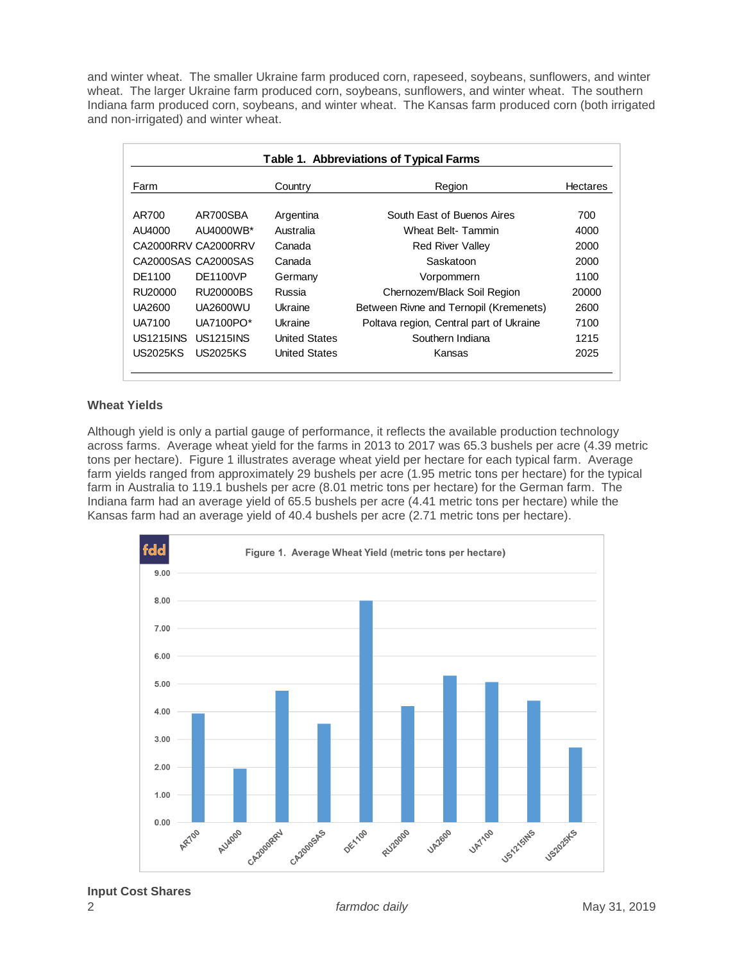and winter wheat. The smaller Ukraine farm produced corn, rapeseed, soybeans, sunflowers, and winter wheat. The larger Ukraine farm produced corn, soybeans, sunflowers, and winter wheat. The southern Indiana farm produced corn, soybeans, and winter wheat. The Kansas farm produced corn (both irrigated and non-irrigated) and winter wheat.

| Table 1. Abbreviations of Typical Farms |                                                                                                                                                                     |                                         |                 |
|-----------------------------------------|---------------------------------------------------------------------------------------------------------------------------------------------------------------------|-----------------------------------------|-----------------|
|                                         | Country                                                                                                                                                             | Region                                  | <b>Hectares</b> |
|                                         | Argentina                                                                                                                                                           | South Fast of Buenos Aires              | 700             |
|                                         | Australia                                                                                                                                                           | Wheat Belt-Tammin                       | 4000            |
|                                         | Canada                                                                                                                                                              | <b>Red River Valley</b>                 | 2000            |
|                                         | Canada                                                                                                                                                              | Saskatoon                               | 2000            |
|                                         | Germany                                                                                                                                                             | Vorpommern                              | 1100            |
|                                         | Russia                                                                                                                                                              | Chernozem/Black Soil Region             | 20000           |
|                                         | Ukraine                                                                                                                                                             | Between Rivne and Ternopil (Kremenets)  | 2600            |
|                                         | Ukraine                                                                                                                                                             | Poltava region, Central part of Ukraine | 7100            |
|                                         | United States                                                                                                                                                       | Southern Indiana                        | 1215            |
|                                         | <b>United States</b>                                                                                                                                                | Kansas                                  | 2025            |
|                                         | AR700SBA<br>AU4000WB*<br>CA2000RRV CA2000RRV<br>CA2000SAS CA2000SAS<br>DF1100VP<br>RU20000BS<br><b>UA2600WU</b><br>UA7100PO*<br><b>US1215INS</b><br><b>US2025KS</b> |                                         |                 |

## **Wheat Yields**

Although yield is only a partial gauge of performance, it reflects the available production technology across farms. Average wheat yield for the farms in 2013 to 2017 was 65.3 bushels per acre (4.39 metric tons per hectare). Figure 1 illustrates average wheat yield per hectare for each typical farm. Average farm yields ranged from approximately 29 bushels per acre (1.95 metric tons per hectare) for the typical farm in Australia to 119.1 bushels per acre (8.01 metric tons per hectare) for the German farm. The Indiana farm had an average yield of 65.5 bushels per acre (4.41 metric tons per hectare) while the Kansas farm had an average yield of 40.4 bushels per acre (2.71 metric tons per hectare).

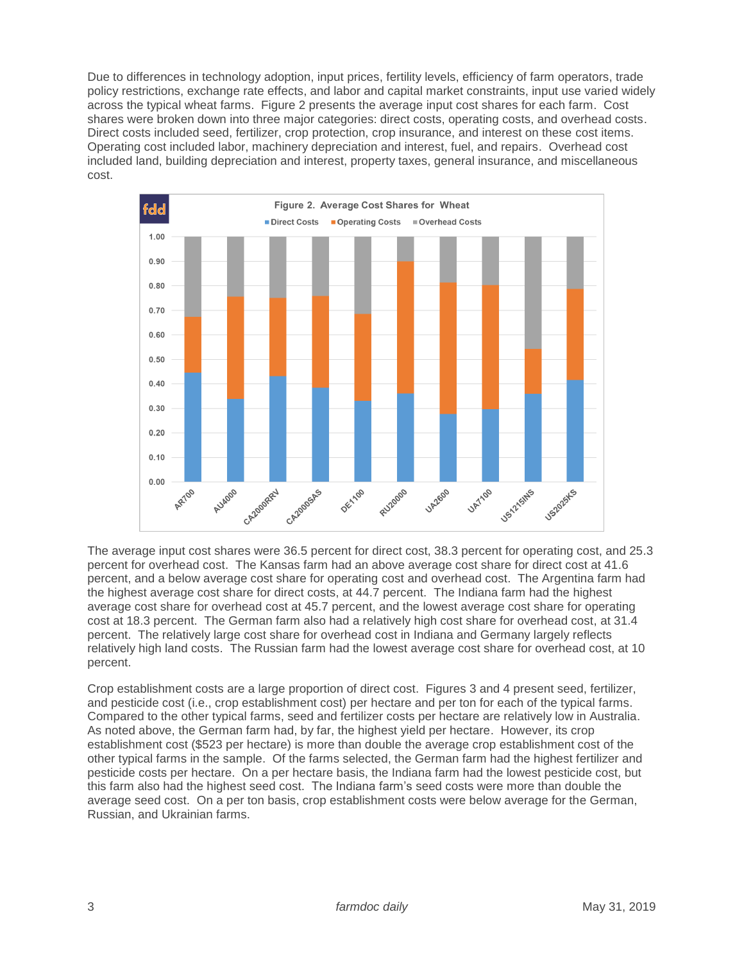Due to differences in technology adoption, input prices, fertility levels, efficiency of farm operators, trade policy restrictions, exchange rate effects, and labor and capital market constraints, input use varied widely across the typical wheat farms. Figure 2 presents the average input cost shares for each farm. Cost shares were broken down into three major categories: direct costs, operating costs, and overhead costs. Direct costs included seed, fertilizer, crop protection, crop insurance, and interest on these cost items. Operating cost included labor, machinery depreciation and interest, fuel, and repairs. Overhead cost included land, building depreciation and interest, property taxes, general insurance, and miscellaneous cost.



The average input cost shares were 36.5 percent for direct cost, 38.3 percent for operating cost, and 25.3 percent for overhead cost. The Kansas farm had an above average cost share for direct cost at 41.6 percent, and a below average cost share for operating cost and overhead cost. The Argentina farm had the highest average cost share for direct costs, at 44.7 percent. The Indiana farm had the highest average cost share for overhead cost at 45.7 percent, and the lowest average cost share for operating cost at 18.3 percent. The German farm also had a relatively high cost share for overhead cost, at 31.4 percent. The relatively large cost share for overhead cost in Indiana and Germany largely reflects relatively high land costs. The Russian farm had the lowest average cost share for overhead cost, at 10 percent.

Crop establishment costs are a large proportion of direct cost. Figures 3 and 4 present seed, fertilizer, and pesticide cost (i.e., crop establishment cost) per hectare and per ton for each of the typical farms. Compared to the other typical farms, seed and fertilizer costs per hectare are relatively low in Australia. As noted above, the German farm had, by far, the highest yield per hectare. However, its crop establishment cost (\$523 per hectare) is more than double the average crop establishment cost of the other typical farms in the sample. Of the farms selected, the German farm had the highest fertilizer and pesticide costs per hectare. On a per hectare basis, the Indiana farm had the lowest pesticide cost, but this farm also had the highest seed cost. The Indiana farm's seed costs were more than double the average seed cost. On a per ton basis, crop establishment costs were below average for the German, Russian, and Ukrainian farms.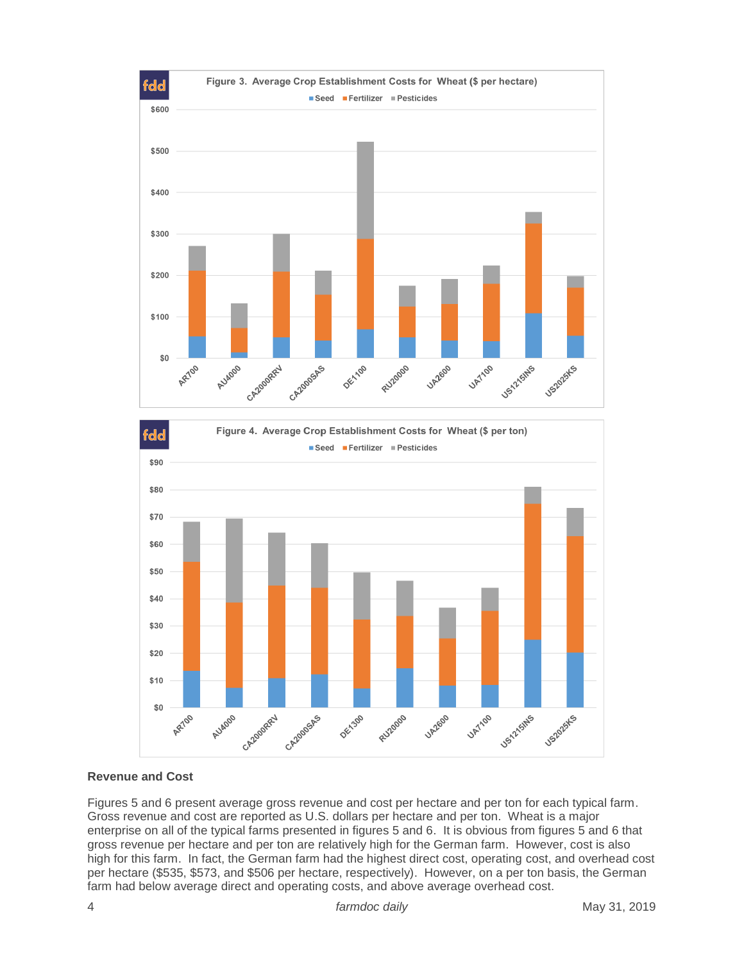



#### **Revenue and Cost**

Figures 5 and 6 present average gross revenue and cost per hectare and per ton for each typical farm. Gross revenue and cost are reported as U.S. dollars per hectare and per ton. Wheat is a major enterprise on all of the typical farms presented in figures 5 and 6. It is obvious from figures 5 and 6 that gross revenue per hectare and per ton are relatively high for the German farm. However, cost is also high for this farm. In fact, the German farm had the highest direct cost, operating cost, and overhead cost per hectare (\$535, \$573, and \$506 per hectare, respectively). However, on a per ton basis, the German farm had below average direct and operating costs, and above average overhead cost.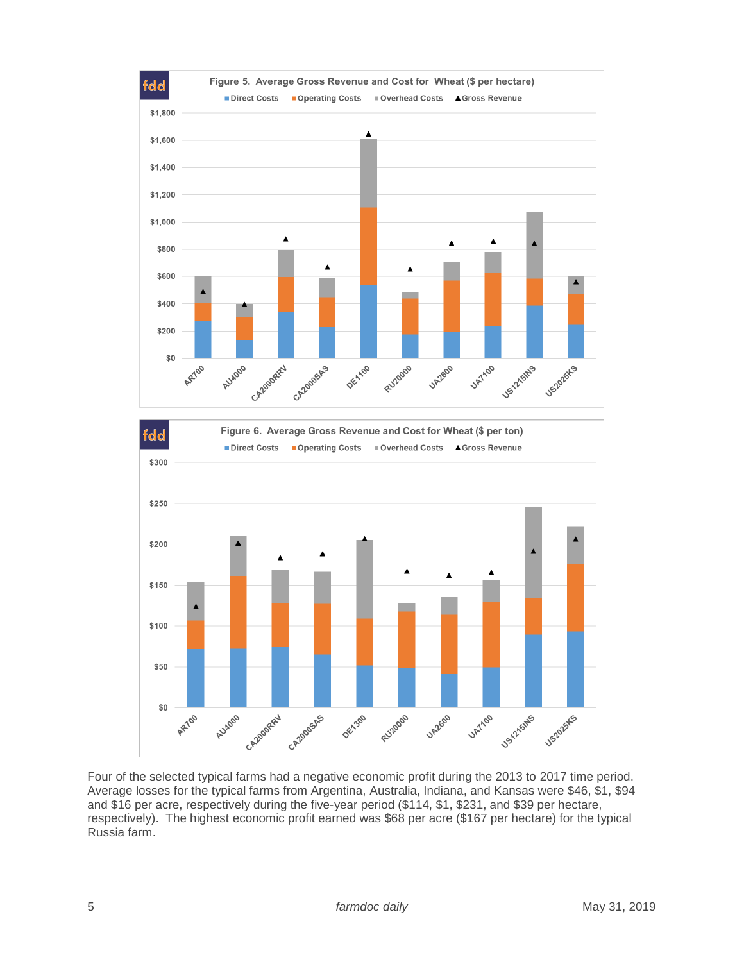



Four of the selected typical farms had a negative economic profit during the 2013 to 2017 time period. Average losses for the typical farms from Argentina, Australia, Indiana, and Kansas were \$46, \$1, \$94 and \$16 per acre, respectively during the five-year period (\$114, \$1, \$231, and \$39 per hectare, respectively). The highest economic profit earned was \$68 per acre (\$167 per hectare) for the typical Russia farm.